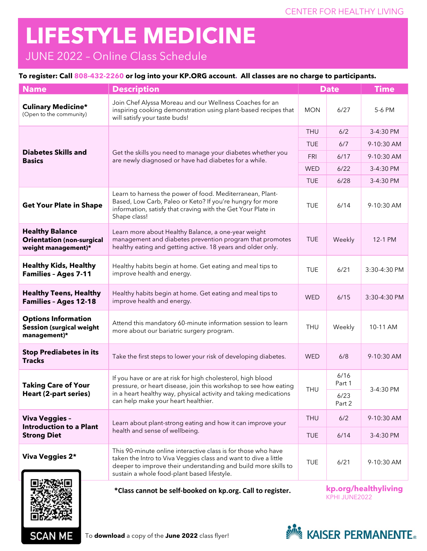## **LIFESTYLE MEDICINE**

## JUNE 2022 – Online Class Schedule

## **To register: Call 808-432-2260 or log into your KP.ORG account. All classes are no charge to participants.**

| <b>Name</b>                                                                       | <b>Description</b>                                                                                                                                                                                                                                | <b>Date</b>                           |                | <b>Time</b>  |
|-----------------------------------------------------------------------------------|---------------------------------------------------------------------------------------------------------------------------------------------------------------------------------------------------------------------------------------------------|---------------------------------------|----------------|--------------|
| <b>Culinary Medicine*</b><br>(Open to the community)                              | Join Chef Alyssa Moreau and our Wellness Coaches for an<br>inspiring cooking demonstration using plant-based recipes that<br>will satisfy your taste buds!                                                                                        |                                       | 6/27           | 5-6 PM       |
|                                                                                   |                                                                                                                                                                                                                                                   |                                       | 6/2            | 3-4:30 PM    |
| <b>Diabetes Skills and</b><br><b>Basics</b>                                       | Get the skills you need to manage your diabetes whether you<br>are newly diagnosed or have had diabetes for a while.                                                                                                                              | <b>TUE</b>                            | 6/7            | 9-10:30 AM   |
|                                                                                   |                                                                                                                                                                                                                                                   | <b>FRI</b>                            | 6/17           | 9-10:30 AM   |
|                                                                                   |                                                                                                                                                                                                                                                   | <b>WED</b>                            | 6/22           | 3-4:30 PM    |
|                                                                                   |                                                                                                                                                                                                                                                   | <b>TUE</b>                            | 6/28           | 3-4:30 PM    |
| <b>Get Your Plate in Shape</b>                                                    | Learn to harness the power of food. Mediterranean, Plant-<br>Based, Low Carb, Paleo or Keto? If you're hungry for more<br>information, satisfy that craving with the Get Your Plate in<br>Shape class!                                            |                                       | 6/14           | 9-10:30 AM   |
| <b>Healthy Balance</b><br><b>Orientation (non-surgical</b><br>weight management)* | Learn more about Healthy Balance, a one-year weight<br>management and diabetes prevention program that promotes<br>healthy eating and getting active. 18 years and older only.                                                                    |                                       | Weekly         | 12-1 PM      |
| <b>Healthy Kids, Healthy</b><br><b>Families - Ages 7-11</b>                       | Healthy habits begin at home. Get eating and meal tips to<br>improve health and energy.                                                                                                                                                           |                                       | 6/21           | 3:30-4:30 PM |
| <b>Healthy Teens, Healthy</b><br><b>Families - Ages 12-18</b>                     | Healthy habits begin at home. Get eating and meal tips to<br>improve health and energy.                                                                                                                                                           |                                       | 6/15           | 3:30-4:30 PM |
| <b>Options Information</b><br><b>Session (surgical weight</b><br>management)*     | Attend this mandatory 60-minute information session to learn<br>more about our bariatric surgery program.                                                                                                                                         |                                       | Weekly         | 10-11 AM     |
| <b>Stop Prediabetes in its</b><br><b>Tracks</b>                                   | Take the first steps to lower your risk of developing diabetes.                                                                                                                                                                                   |                                       | 6/8            | 9-10:30 AM   |
| <b>Taking Care of Your</b><br>Heart (2-part series)                               | If you have or are at risk for high cholesterol, high blood<br>pressure, or heart disease, join this workshop to see how eating<br>in a heart healthy way, physical activity and taking medications<br>can help make your heart healthier.        |                                       | 6/16<br>Part 1 | 3-4:30 PM    |
|                                                                                   |                                                                                                                                                                                                                                                   |                                       | 6/23<br>Part 2 |              |
| Viva Veggies -<br><b>Introduction to a Plant</b><br><b>Strong Diet</b>            | Learn about plant-strong eating and how it can improve your                                                                                                                                                                                       | <b>THU</b>                            | 6/2            | 9-10:30 AM   |
|                                                                                   | health and sense of wellbeing.                                                                                                                                                                                                                    |                                       | 6/14           | 3-4:30 PM    |
| <b>Viva Veggies 2*</b>                                                            | This 90-minute online interactive class is for those who have<br>taken the Intro to Viva Veggies class and want to dive a little<br>deeper to improve their understanding and build more skills to<br>sustain a whole food-plant based lifestyle. | <b>TUE</b>                            | 6/21           | 9-10:30 AM   |
|                                                                                   | *Class cannot be self-booked on kp.org. Call to register.                                                                                                                                                                                         | kp.org/healthyliving<br>KPHI JUNE2022 |                |              |



**SCAN ME**